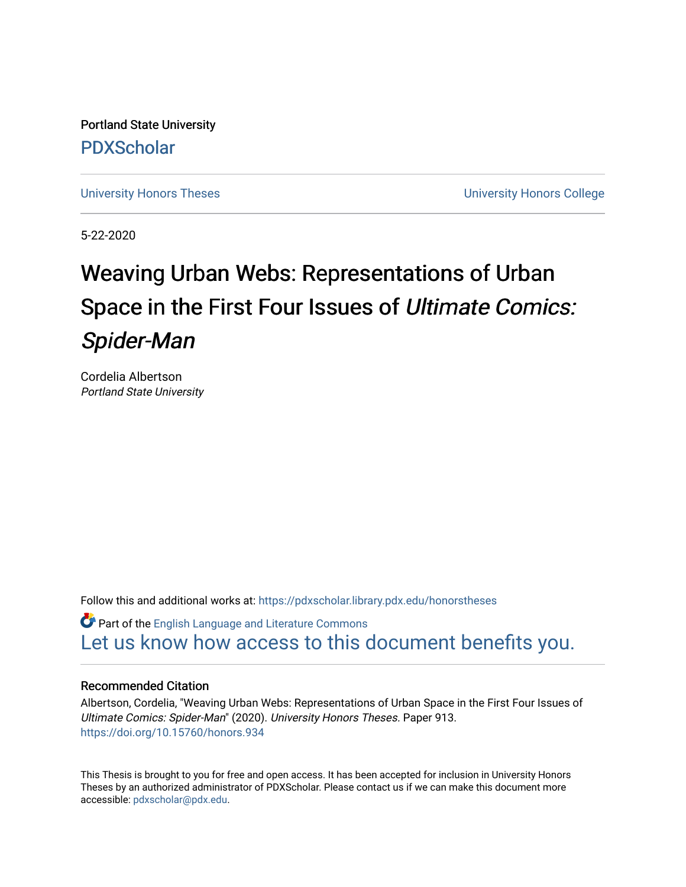Portland State University [PDXScholar](https://pdxscholar.library.pdx.edu/)

[University Honors Theses](https://pdxscholar.library.pdx.edu/honorstheses) **University Honors College** 

5-22-2020

# Weaving Urban Webs: Representations of Urban Space in the First Four Issues of Ultimate Comics: Spider-Man

Cordelia Albertson Portland State University

Follow this and additional works at: [https://pdxscholar.library.pdx.edu/honorstheses](https://pdxscholar.library.pdx.edu/honorstheses?utm_source=pdxscholar.library.pdx.edu%2Fhonorstheses%2F913&utm_medium=PDF&utm_campaign=PDFCoverPages) 

Part of the [English Language and Literature Commons](http://network.bepress.com/hgg/discipline/455?utm_source=pdxscholar.library.pdx.edu%2Fhonorstheses%2F913&utm_medium=PDF&utm_campaign=PDFCoverPages) [Let us know how access to this document benefits you.](http://library.pdx.edu/services/pdxscholar-services/pdxscholar-feedback/) 

#### Recommended Citation

Albertson, Cordelia, "Weaving Urban Webs: Representations of Urban Space in the First Four Issues of Ultimate Comics: Spider-Man" (2020). University Honors Theses. Paper 913. <https://doi.org/10.15760/honors.934>

This Thesis is brought to you for free and open access. It has been accepted for inclusion in University Honors Theses by an authorized administrator of PDXScholar. Please contact us if we can make this document more accessible: [pdxscholar@pdx.edu.](mailto:pdxscholar@pdx.edu)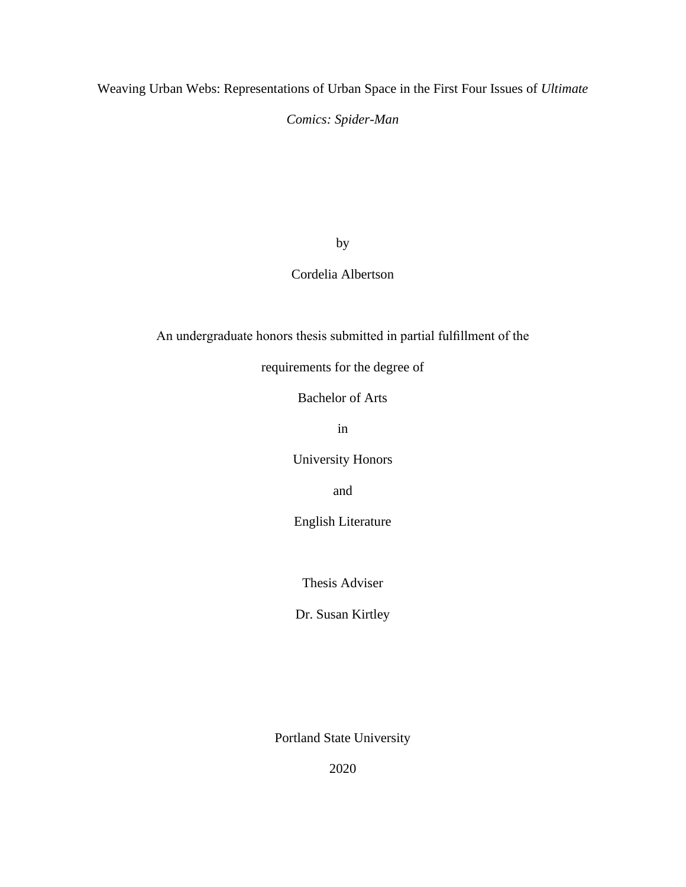Weaving Urban Webs: Representations of Urban Space in the First Four Issues of *Ultimate* 

*Comics: Spider-Man*

by

# Cordelia Albertson

An undergraduate honors thesis submitted in partial fulfillment of the

requirements for the degree of

Bachelor of Arts

in

University Honors

and

English Literature

Thesis Adviser

Dr. Susan Kirtley

Portland State University

2020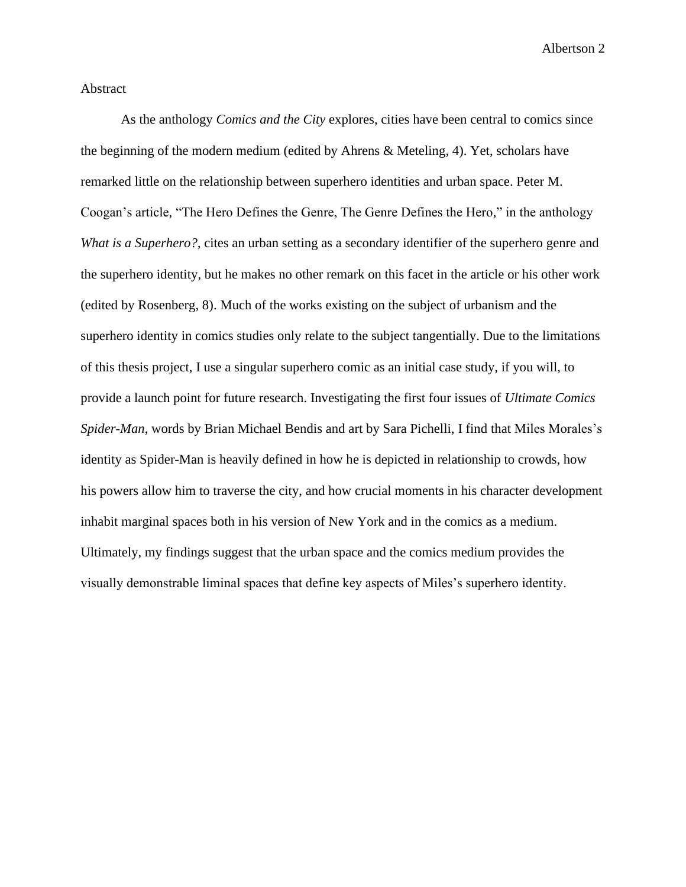# Abstract

As the anthology *Comics and the City* explores, cities have been central to comics since the beginning of the modern medium (edited by Ahrens & Meteling, 4). Yet, scholars have remarked little on the relationship between superhero identities and urban space. Peter M. Coogan's article, "The Hero Defines the Genre, The Genre Defines the Hero," in the anthology *What is a Superhero?,* cites an urban setting as a secondary identifier of the superhero genre and the superhero identity, but he makes no other remark on this facet in the article or his other work (edited by Rosenberg, 8). Much of the works existing on the subject of urbanism and the superhero identity in comics studies only relate to the subject tangentially. Due to the limitations of this thesis project, I use a singular superhero comic as an initial case study, if you will, to provide a launch point for future research. Investigating the first four issues of *Ultimate Comics Spider-Man*, words by Brian Michael Bendis and art by Sara Pichelli, I find that Miles Morales's identity as Spider-Man is heavily defined in how he is depicted in relationship to crowds, how his powers allow him to traverse the city, and how crucial moments in his character development inhabit marginal spaces both in his version of New York and in the comics as a medium. Ultimately, my findings suggest that the urban space and the comics medium provides the visually demonstrable liminal spaces that define key aspects of Miles's superhero identity.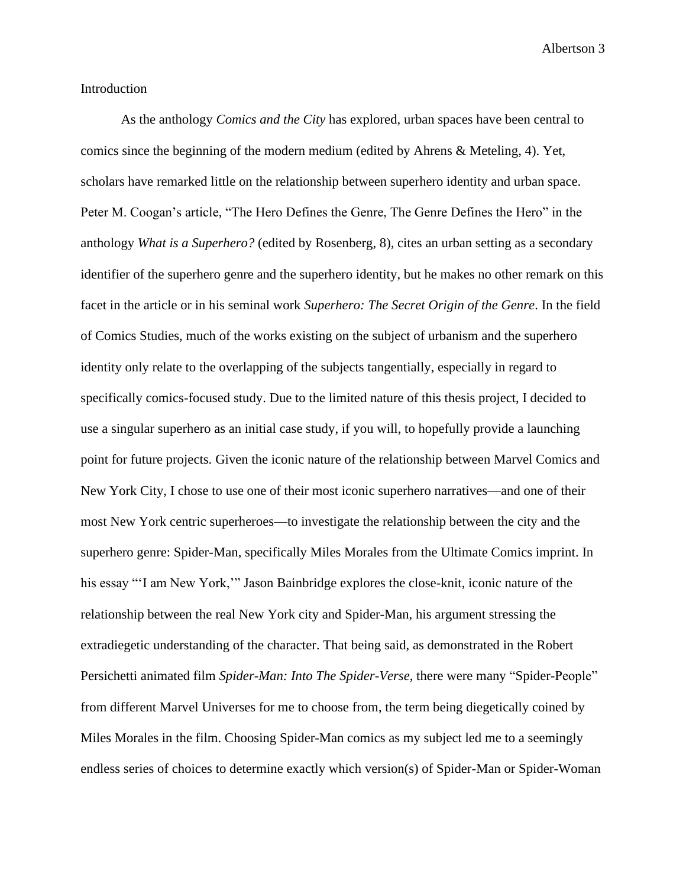# Introduction

As the anthology *Comics and the City* has explored, urban spaces have been central to comics since the beginning of the modern medium (edited by Ahrens & Meteling, 4). Yet, scholars have remarked little on the relationship between superhero identity and urban space. Peter M. Coogan's article, "The Hero Defines the Genre, The Genre Defines the Hero" in the anthology *What is a Superhero?* (edited by Rosenberg, 8)*,* cites an urban setting as a secondary identifier of the superhero genre and the superhero identity, but he makes no other remark on this facet in the article or in his seminal work *Superhero: The Secret Origin of the Genre*. In the field of Comics Studies, much of the works existing on the subject of urbanism and the superhero identity only relate to the overlapping of the subjects tangentially, especially in regard to specifically comics-focused study. Due to the limited nature of this thesis project, I decided to use a singular superhero as an initial case study, if you will, to hopefully provide a launching point for future projects. Given the iconic nature of the relationship between Marvel Comics and New York City, I chose to use one of their most iconic superhero narratives—and one of their most New York centric superheroes—to investigate the relationship between the city and the superhero genre: Spider-Man, specifically Miles Morales from the Ultimate Comics imprint. In his essay "'I am New York,'" Jason Bainbridge explores the close-knit, iconic nature of the relationship between the real New York city and Spider-Man, his argument stressing the extradiegetic understanding of the character. That being said, as demonstrated in the Robert Persichetti animated film *Spider-Man: Into The Spider-Verse*, there were many "Spider-People" from different Marvel Universes for me to choose from, the term being diegetically coined by Miles Morales in the film. Choosing Spider-Man comics as my subject led me to a seemingly endless series of choices to determine exactly which version(s) of Spider-Man or Spider-Woman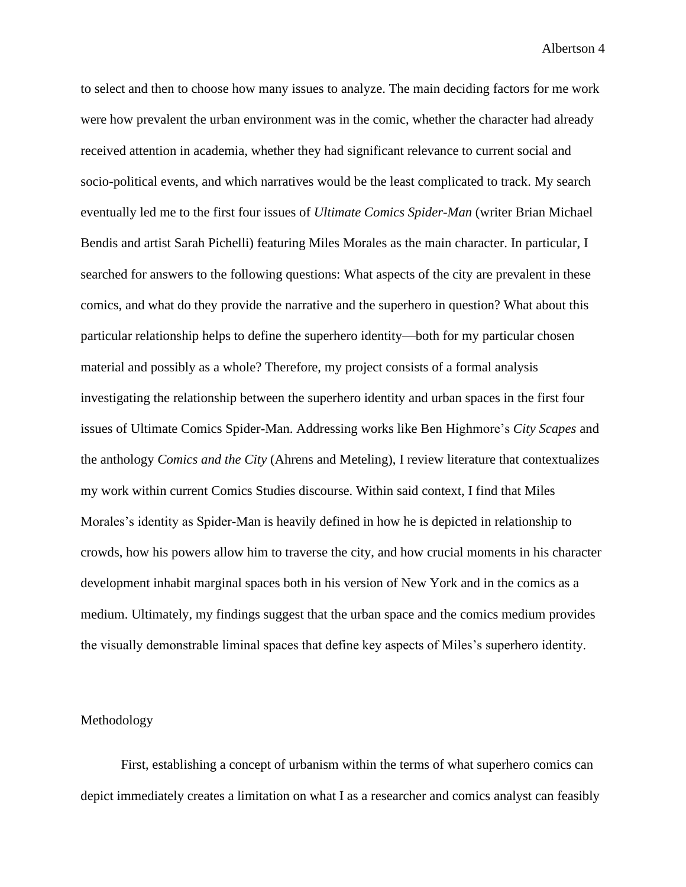to select and then to choose how many issues to analyze. The main deciding factors for me work were how prevalent the urban environment was in the comic, whether the character had already received attention in academia, whether they had significant relevance to current social and socio-political events, and which narratives would be the least complicated to track. My search eventually led me to the first four issues of *Ultimate Comics Spider-Man* (writer Brian Michael Bendis and artist Sarah Pichelli) featuring Miles Morales as the main character. In particular, I searched for answers to the following questions: What aspects of the city are prevalent in these comics, and what do they provide the narrative and the superhero in question? What about this particular relationship helps to define the superhero identity—both for my particular chosen material and possibly as a whole? Therefore, my project consists of a formal analysis investigating the relationship between the superhero identity and urban spaces in the first four issues of Ultimate Comics Spider-Man. Addressing works like Ben Highmore's *City Scapes* and the anthology *Comics and the City* (Ahrens and Meteling), I review literature that contextualizes my work within current Comics Studies discourse. Within said context, I find that Miles Morales's identity as Spider-Man is heavily defined in how he is depicted in relationship to crowds, how his powers allow him to traverse the city, and how crucial moments in his character development inhabit marginal spaces both in his version of New York and in the comics as a medium. Ultimately, my findings suggest that the urban space and the comics medium provides the visually demonstrable liminal spaces that define key aspects of Miles's superhero identity.

# Methodology

First, establishing a concept of urbanism within the terms of what superhero comics can depict immediately creates a limitation on what I as a researcher and comics analyst can feasibly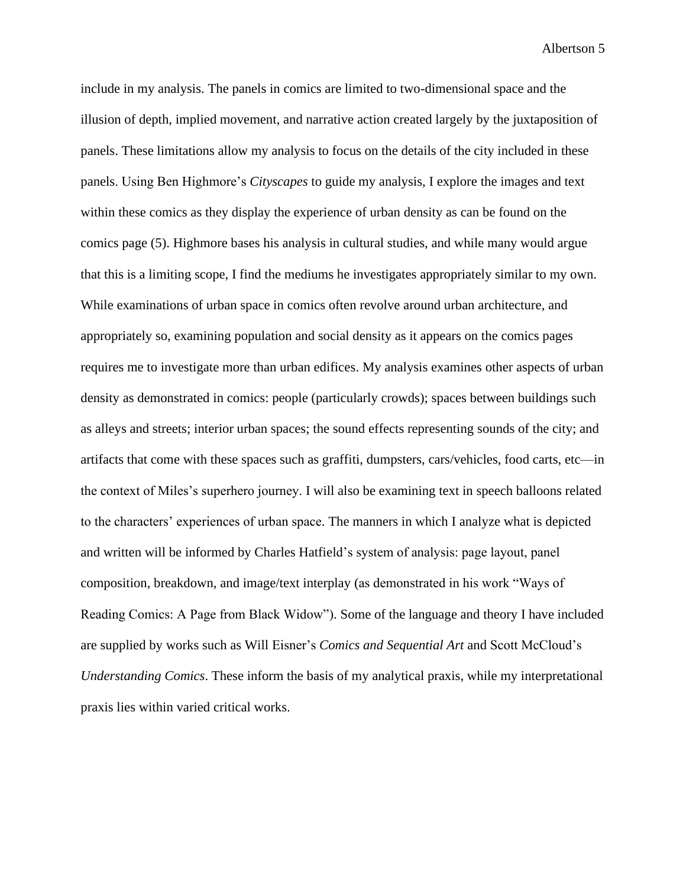include in my analysis. The panels in comics are limited to two-dimensional space and the illusion of depth, implied movement, and narrative action created largely by the juxtaposition of panels. These limitations allow my analysis to focus on the details of the city included in these panels. Using Ben Highmore's *Cityscapes* to guide my analysis, I explore the images and text within these comics as they display the experience of urban density as can be found on the comics page (5). Highmore bases his analysis in cultural studies, and while many would argue that this is a limiting scope, I find the mediums he investigates appropriately similar to my own. While examinations of urban space in comics often revolve around urban architecture, and appropriately so, examining population and social density as it appears on the comics pages requires me to investigate more than urban edifices. My analysis examines other aspects of urban density as demonstrated in comics: people (particularly crowds); spaces between buildings such as alleys and streets; interior urban spaces; the sound effects representing sounds of the city; and artifacts that come with these spaces such as graffiti, dumpsters, cars/vehicles, food carts, etc—in the context of Miles's superhero journey. I will also be examining text in speech balloons related to the characters' experiences of urban space. The manners in which I analyze what is depicted and written will be informed by Charles Hatfield's system of analysis: page layout, panel composition, breakdown, and image/text interplay (as demonstrated in his work "Ways of Reading Comics: A Page from Black Widow"). Some of the language and theory I have included are supplied by works such as Will Eisner's *Comics and Sequential Art* and Scott McCloud's *Understanding Comics*. These inform the basis of my analytical praxis, while my interpretational praxis lies within varied critical works.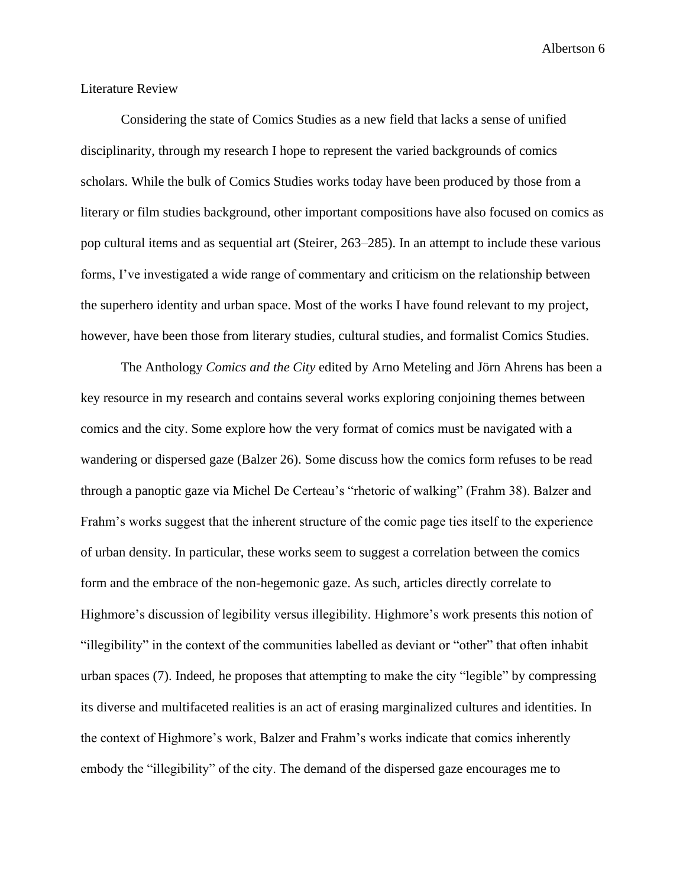#### Literature Review

Considering the state of Comics Studies as a new field that lacks a sense of unified disciplinarity, through my research I hope to represent the varied backgrounds of comics scholars. While the bulk of Comics Studies works today have been produced by those from a literary or film studies background, other important compositions have also focused on comics as pop cultural items and as sequential art (Steirer, 263–285). In an attempt to include these various forms, I've investigated a wide range of commentary and criticism on the relationship between the superhero identity and urban space. Most of the works I have found relevant to my project, however, have been those from literary studies, cultural studies, and formalist Comics Studies.

The Anthology *Comics and the City* edited by Arno Meteling and Jörn Ahrens has been a key resource in my research and contains several works exploring conjoining themes between comics and the city. Some explore how the very format of comics must be navigated with a wandering or dispersed gaze (Balzer 26). Some discuss how the comics form refuses to be read through a panoptic gaze via Michel De Certeau's "rhetoric of walking" (Frahm 38). Balzer and Frahm's works suggest that the inherent structure of the comic page ties itself to the experience of urban density. In particular, these works seem to suggest a correlation between the comics form and the embrace of the non-hegemonic gaze. As such, articles directly correlate to Highmore's discussion of legibility versus illegibility. Highmore's work presents this notion of "illegibility" in the context of the communities labelled as deviant or "other" that often inhabit urban spaces (7). Indeed, he proposes that attempting to make the city "legible" by compressing its diverse and multifaceted realities is an act of erasing marginalized cultures and identities. In the context of Highmore's work, Balzer and Frahm's works indicate that comics inherently embody the "illegibility" of the city. The demand of the dispersed gaze encourages me to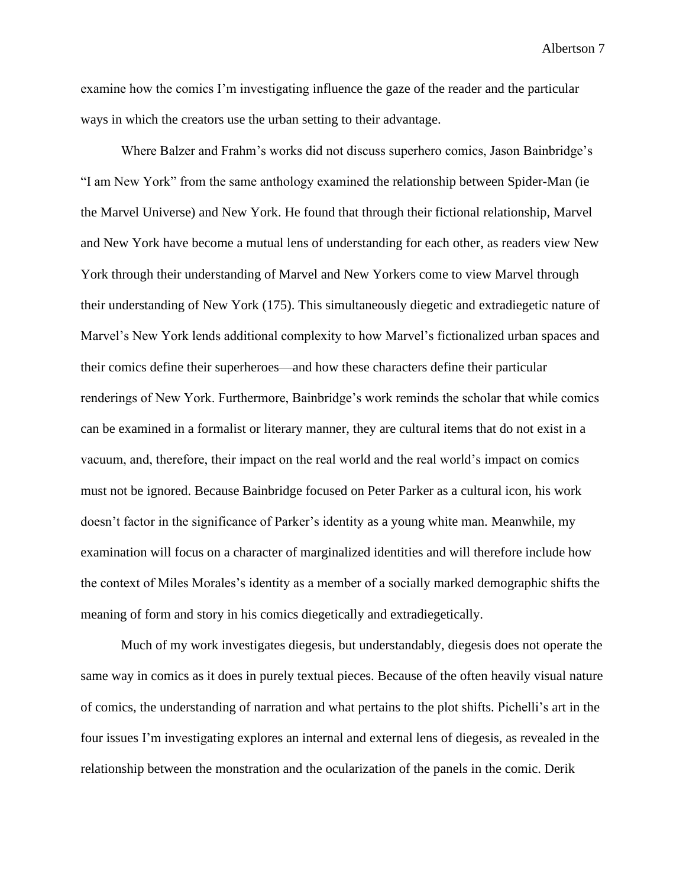examine how the comics I'm investigating influence the gaze of the reader and the particular ways in which the creators use the urban setting to their advantage.

Where Balzer and Frahm's works did not discuss superhero comics, Jason Bainbridge's "I am New York" from the same anthology examined the relationship between Spider-Man (ie the Marvel Universe) and New York. He found that through their fictional relationship, Marvel and New York have become a mutual lens of understanding for each other, as readers view New York through their understanding of Marvel and New Yorkers come to view Marvel through their understanding of New York (175). This simultaneously diegetic and extradiegetic nature of Marvel's New York lends additional complexity to how Marvel's fictionalized urban spaces and their comics define their superheroes—and how these characters define their particular renderings of New York. Furthermore, Bainbridge's work reminds the scholar that while comics can be examined in a formalist or literary manner, they are cultural items that do not exist in a vacuum, and, therefore, their impact on the real world and the real world's impact on comics must not be ignored. Because Bainbridge focused on Peter Parker as a cultural icon, his work doesn't factor in the significance of Parker's identity as a young white man. Meanwhile, my examination will focus on a character of marginalized identities and will therefore include how the context of Miles Morales's identity as a member of a socially marked demographic shifts the meaning of form and story in his comics diegetically and extradiegetically.

Much of my work investigates diegesis, but understandably, diegesis does not operate the same way in comics as it does in purely textual pieces. Because of the often heavily visual nature of comics, the understanding of narration and what pertains to the plot shifts. Pichelli's art in the four issues I'm investigating explores an internal and external lens of diegesis, as revealed in the relationship between the monstration and the ocularization of the panels in the comic. Derik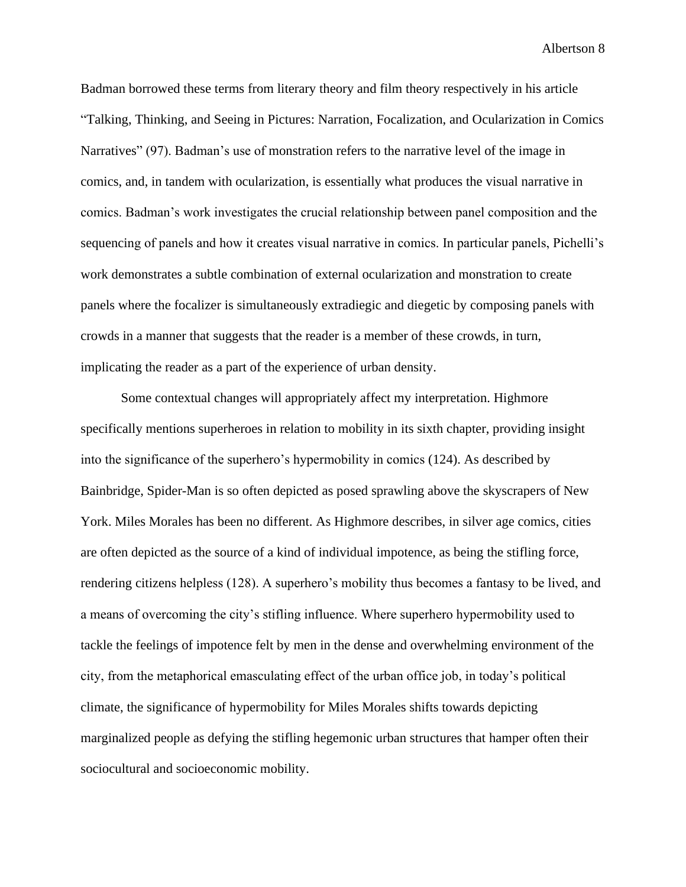Badman borrowed these terms from literary theory and film theory respectively in his article "Talking, Thinking, and Seeing in Pictures: Narration, Focalization, and Ocularization in Comics Narratives" (97). Badman's use of monstration refers to the narrative level of the image in comics, and, in tandem with ocularization, is essentially what produces the visual narrative in comics. Badman's work investigates the crucial relationship between panel composition and the sequencing of panels and how it creates visual narrative in comics. In particular panels, Pichelli's work demonstrates a subtle combination of external ocularization and monstration to create panels where the focalizer is simultaneously extradiegic and diegetic by composing panels with crowds in a manner that suggests that the reader is a member of these crowds, in turn, implicating the reader as a part of the experience of urban density.

Some contextual changes will appropriately affect my interpretation. Highmore specifically mentions superheroes in relation to mobility in its sixth chapter, providing insight into the significance of the superhero's hypermobility in comics (124). As described by Bainbridge, Spider-Man is so often depicted as posed sprawling above the skyscrapers of New York. Miles Morales has been no different. As Highmore describes, in silver age comics, cities are often depicted as the source of a kind of individual impotence, as being the stifling force, rendering citizens helpless (128). A superhero's mobility thus becomes a fantasy to be lived, and a means of overcoming the city's stifling influence. Where superhero hypermobility used to tackle the feelings of impotence felt by men in the dense and overwhelming environment of the city, from the metaphorical emasculating effect of the urban office job, in today's political climate, the significance of hypermobility for Miles Morales shifts towards depicting marginalized people as defying the stifling hegemonic urban structures that hamper often their sociocultural and socioeconomic mobility.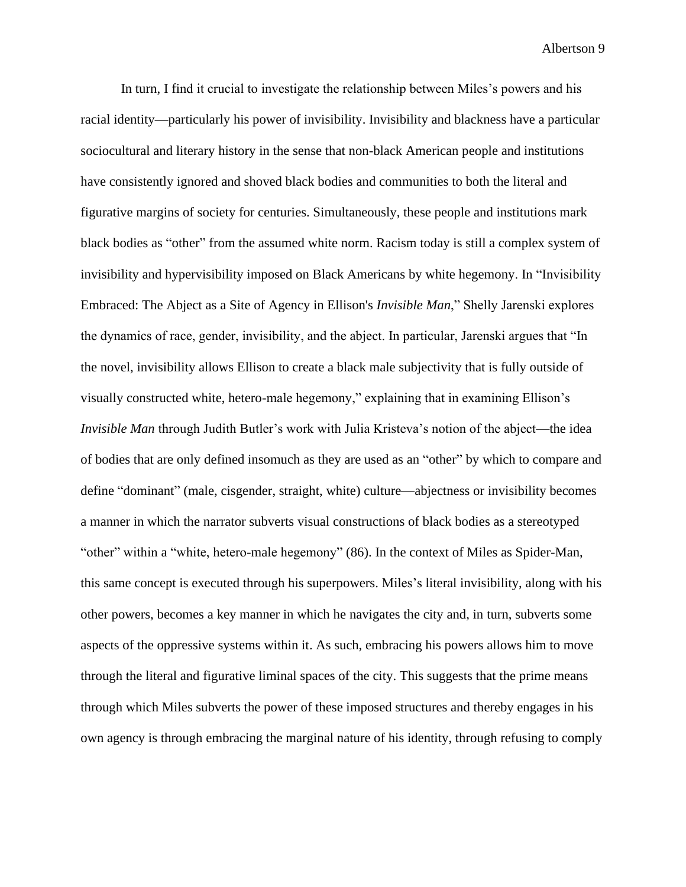In turn, I find it crucial to investigate the relationship between Miles's powers and his racial identity—particularly his power of invisibility. Invisibility and blackness have a particular sociocultural and literary history in the sense that non-black American people and institutions have consistently ignored and shoved black bodies and communities to both the literal and figurative margins of society for centuries. Simultaneously, these people and institutions mark black bodies as "other" from the assumed white norm. Racism today is still a complex system of invisibility and hypervisibility imposed on Black Americans by white hegemony. In "Invisibility Embraced: The Abject as a Site of Agency in Ellison's *Invisible Man*," Shelly Jarenski explores the dynamics of race, gender, invisibility, and the abject. In particular, Jarenski argues that "In the novel, invisibility allows Ellison to create a black male subjectivity that is fully outside of visually constructed white, hetero-male hegemony," explaining that in examining Ellison's *Invisible Man* through Judith Butler's work with Julia Kristeva's notion of the abject—the idea of bodies that are only defined insomuch as they are used as an "other" by which to compare and define "dominant" (male, cisgender, straight, white) culture—abjectness or invisibility becomes a manner in which the narrator subverts visual constructions of black bodies as a stereotyped "other" within a "white, hetero-male hegemony" (86). In the context of Miles as Spider-Man, this same concept is executed through his superpowers. Miles's literal invisibility, along with his other powers, becomes a key manner in which he navigates the city and, in turn, subverts some aspects of the oppressive systems within it. As such, embracing his powers allows him to move through the literal and figurative liminal spaces of the city. This suggests that the prime means through which Miles subverts the power of these imposed structures and thereby engages in his own agency is through embracing the marginal nature of his identity, through refusing to comply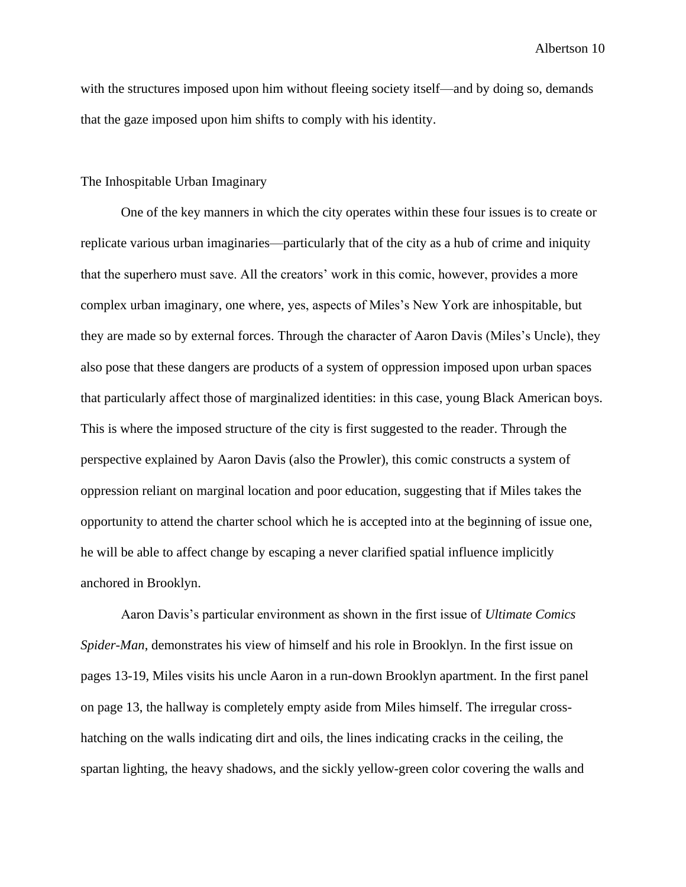with the structures imposed upon him without fleeing society itself—and by doing so, demands that the gaze imposed upon him shifts to comply with his identity.

#### The Inhospitable Urban Imaginary

One of the key manners in which the city operates within these four issues is to create or replicate various urban imaginaries—particularly that of the city as a hub of crime and iniquity that the superhero must save. All the creators' work in this comic, however, provides a more complex urban imaginary, one where, yes, aspects of Miles's New York are inhospitable, but they are made so by external forces. Through the character of Aaron Davis (Miles's Uncle), they also pose that these dangers are products of a system of oppression imposed upon urban spaces that particularly affect those of marginalized identities: in this case, young Black American boys. This is where the imposed structure of the city is first suggested to the reader. Through the perspective explained by Aaron Davis (also the Prowler), this comic constructs a system of oppression reliant on marginal location and poor education, suggesting that if Miles takes the opportunity to attend the charter school which he is accepted into at the beginning of issue one, he will be able to affect change by escaping a never clarified spatial influence implicitly anchored in Brooklyn.

Aaron Davis's particular environment as shown in the first issue of *Ultimate Comics Spider-Man*, demonstrates his view of himself and his role in Brooklyn. In the first issue on pages 13-19, Miles visits his uncle Aaron in a run-down Brooklyn apartment. In the first panel on page 13, the hallway is completely empty aside from Miles himself. The irregular crosshatching on the walls indicating dirt and oils, the lines indicating cracks in the ceiling, the spartan lighting, the heavy shadows, and the sickly yellow-green color covering the walls and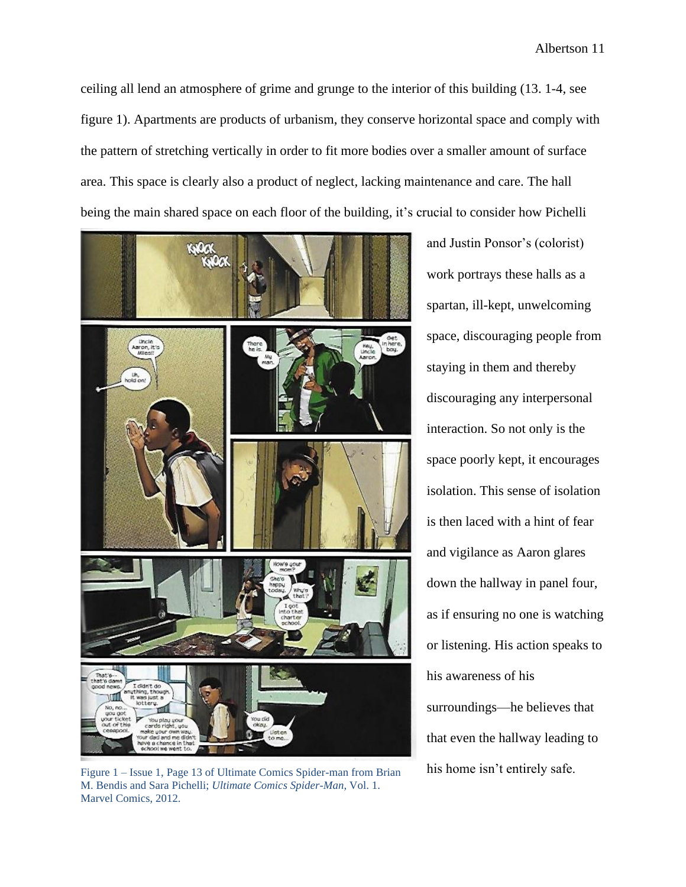ceiling all lend an atmosphere of grime and grunge to the interior of this building (13. 1-4, see figure 1). Apartments are products of urbanism, they conserve horizontal space and comply with the pattern of stretching vertically in order to fit more bodies over a smaller amount of surface area. This space is clearly also a product of neglect, lacking maintenance and care. The hall being the main shared space on each floor of the building, it's crucial to consider how Pichelli



Figure 1 – Issue 1, Page 13 of Ultimate Comics Spider-man from Brian his home isn't entirely safe. M. Bendis and Sara Pichelli; *Ultimate Comics Spider-Man*, Vol. 1. Marvel Comics, 2012.

and Justin Ponsor's (colorist) work portrays these halls as a spartan, ill-kept, unwelcoming space, discouraging people from staying in them and thereby discouraging any interpersonal interaction. So not only is the space poorly kept, it encourages isolation. This sense of isolation is then laced with a hint of fear and vigilance as Aaron glares down the hallway in panel four, as if ensuring no one is watching or listening. His action speaks to his awareness of his surroundings—he believes that that even the hallway leading to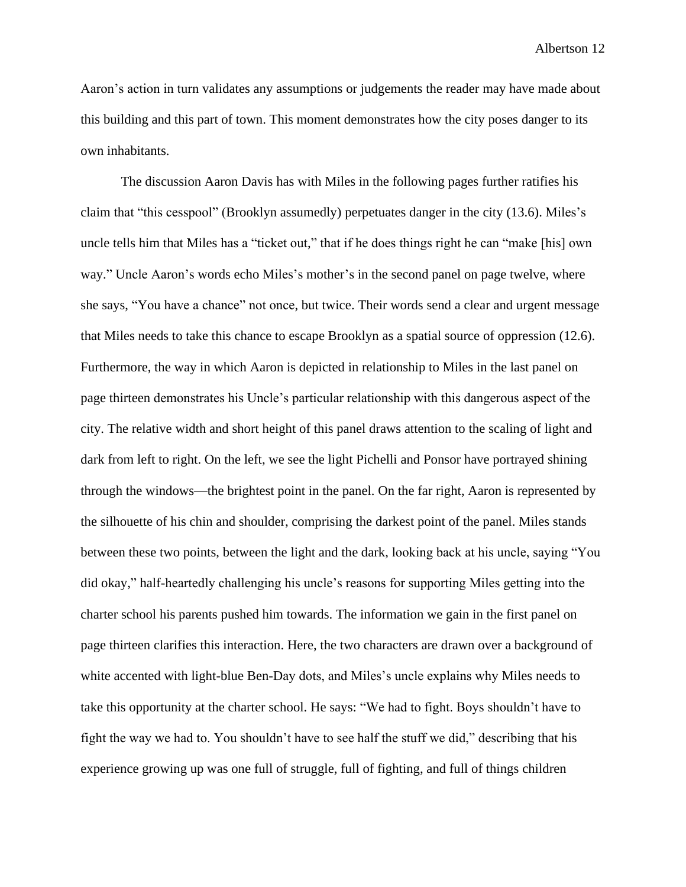Aaron's action in turn validates any assumptions or judgements the reader may have made about this building and this part of town. This moment demonstrates how the city poses danger to its own inhabitants.

The discussion Aaron Davis has with Miles in the following pages further ratifies his claim that "this cesspool" (Brooklyn assumedly) perpetuates danger in the city (13.6). Miles's uncle tells him that Miles has a "ticket out," that if he does things right he can "make [his] own way." Uncle Aaron's words echo Miles's mother's in the second panel on page twelve, where she says, "You have a chance" not once, but twice. Their words send a clear and urgent message that Miles needs to take this chance to escape Brooklyn as a spatial source of oppression (12.6). Furthermore, the way in which Aaron is depicted in relationship to Miles in the last panel on page thirteen demonstrates his Uncle's particular relationship with this dangerous aspect of the city. The relative width and short height of this panel draws attention to the scaling of light and dark from left to right. On the left, we see the light Pichelli and Ponsor have portrayed shining through the windows—the brightest point in the panel. On the far right, Aaron is represented by the silhouette of his chin and shoulder, comprising the darkest point of the panel. Miles stands between these two points, between the light and the dark, looking back at his uncle, saying "You did okay," half-heartedly challenging his uncle's reasons for supporting Miles getting into the charter school his parents pushed him towards. The information we gain in the first panel on page thirteen clarifies this interaction. Here, the two characters are drawn over a background of white accented with light-blue Ben-Day dots, and Miles's uncle explains why Miles needs to take this opportunity at the charter school. He says: "We had to fight. Boys shouldn't have to fight the way we had to. You shouldn't have to see half the stuff we did," describing that his experience growing up was one full of struggle, full of fighting, and full of things children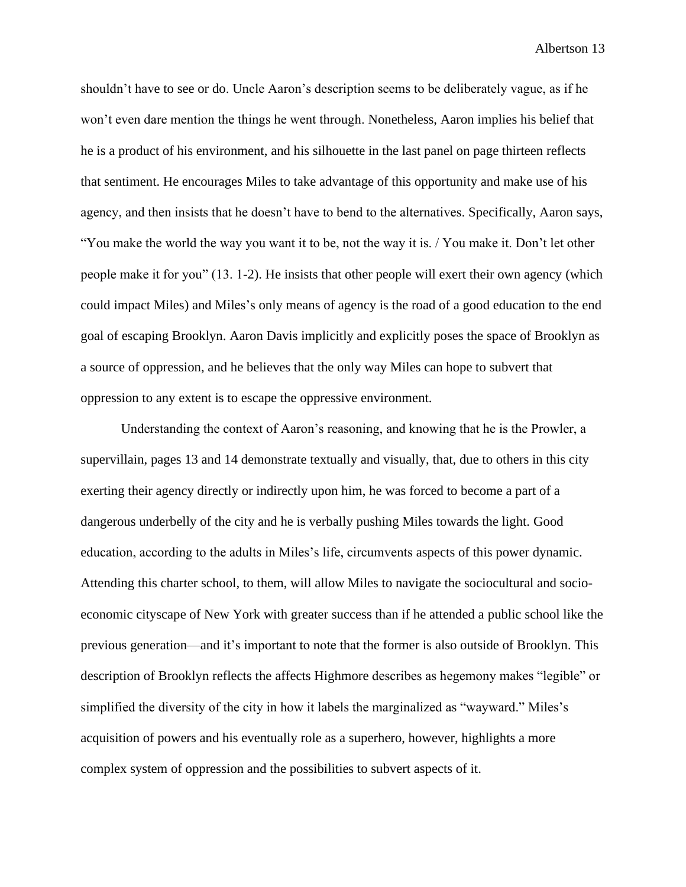shouldn't have to see or do. Uncle Aaron's description seems to be deliberately vague, as if he won't even dare mention the things he went through. Nonetheless, Aaron implies his belief that he is a product of his environment, and his silhouette in the last panel on page thirteen reflects that sentiment. He encourages Miles to take advantage of this opportunity and make use of his agency, and then insists that he doesn't have to bend to the alternatives. Specifically, Aaron says, "You make the world the way you want it to be, not the way it is. / You make it. Don't let other people make it for you" (13. 1-2). He insists that other people will exert their own agency (which could impact Miles) and Miles's only means of agency is the road of a good education to the end goal of escaping Brooklyn. Aaron Davis implicitly and explicitly poses the space of Brooklyn as a source of oppression, and he believes that the only way Miles can hope to subvert that oppression to any extent is to escape the oppressive environment.

Understanding the context of Aaron's reasoning, and knowing that he is the Prowler, a supervillain, pages 13 and 14 demonstrate textually and visually, that, due to others in this city exerting their agency directly or indirectly upon him, he was forced to become a part of a dangerous underbelly of the city and he is verbally pushing Miles towards the light. Good education, according to the adults in Miles's life, circumvents aspects of this power dynamic. Attending this charter school, to them, will allow Miles to navigate the sociocultural and socioeconomic cityscape of New York with greater success than if he attended a public school like the previous generation—and it's important to note that the former is also outside of Brooklyn. This description of Brooklyn reflects the affects Highmore describes as hegemony makes "legible" or simplified the diversity of the city in how it labels the marginalized as "wayward." Miles's acquisition of powers and his eventually role as a superhero, however, highlights a more complex system of oppression and the possibilities to subvert aspects of it.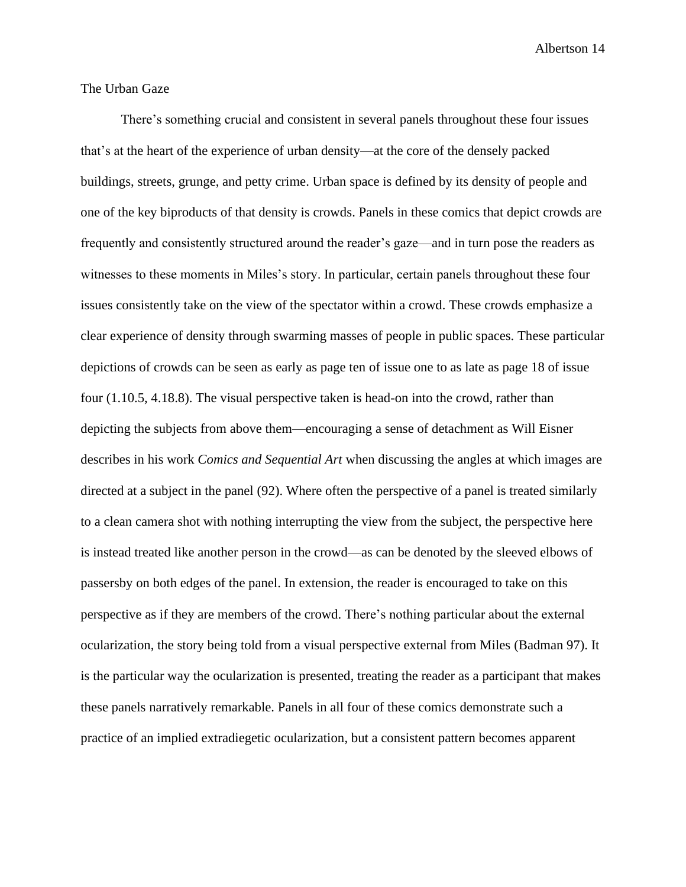#### The Urban Gaze

There's something crucial and consistent in several panels throughout these four issues that's at the heart of the experience of urban density—at the core of the densely packed buildings, streets, grunge, and petty crime. Urban space is defined by its density of people and one of the key biproducts of that density is crowds. Panels in these comics that depict crowds are frequently and consistently structured around the reader's gaze—and in turn pose the readers as witnesses to these moments in Miles's story. In particular, certain panels throughout these four issues consistently take on the view of the spectator within a crowd. These crowds emphasize a clear experience of density through swarming masses of people in public spaces. These particular depictions of crowds can be seen as early as page ten of issue one to as late as page 18 of issue four (1.10.5, 4.18.8). The visual perspective taken is head-on into the crowd, rather than depicting the subjects from above them—encouraging a sense of detachment as Will Eisner describes in his work *Comics and Sequential Art* when discussing the angles at which images are directed at a subject in the panel (92). Where often the perspective of a panel is treated similarly to a clean camera shot with nothing interrupting the view from the subject, the perspective here is instead treated like another person in the crowd—as can be denoted by the sleeved elbows of passersby on both edges of the panel. In extension, the reader is encouraged to take on this perspective as if they are members of the crowd. There's nothing particular about the external ocularization, the story being told from a visual perspective external from Miles (Badman 97). It is the particular way the ocularization is presented, treating the reader as a participant that makes these panels narratively remarkable. Panels in all four of these comics demonstrate such a practice of an implied extradiegetic ocularization, but a consistent pattern becomes apparent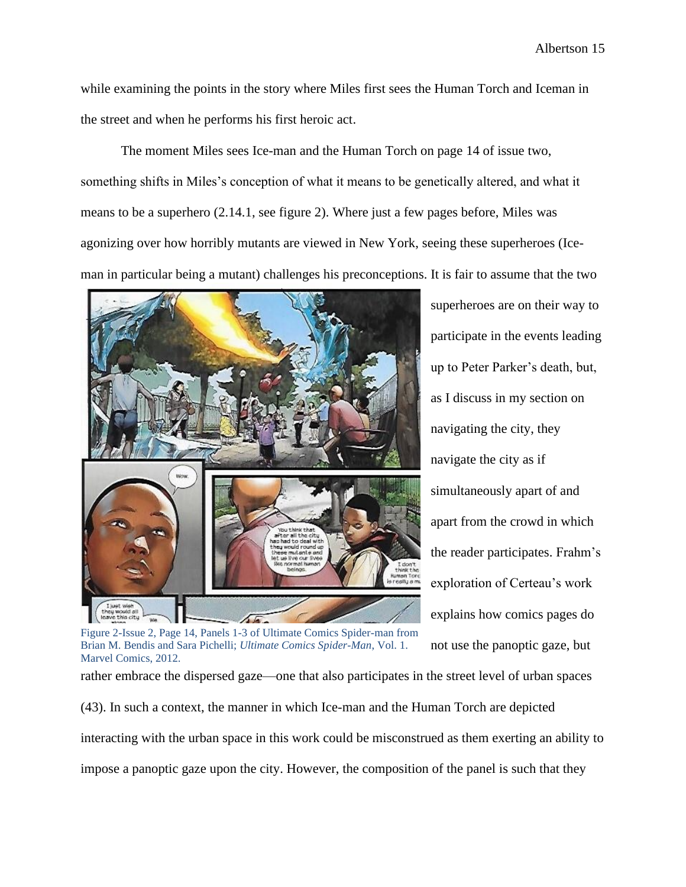while examining the points in the story where Miles first sees the Human Torch and Iceman in the street and when he performs his first heroic act.

The moment Miles sees Ice-man and the Human Torch on page 14 of issue two, something shifts in Miles's conception of what it means to be genetically altered, and what it means to be a superhero (2.14.1, see figure 2). Where just a few pages before, Miles was agonizing over how horribly mutants are viewed in New York, seeing these superheroes (Iceman in particular being a mutant) challenges his preconceptions. It is fair to assume that the two



superheroes are on their way to participate in the events leading up to Peter Parker's death, but, as I discuss in my section on navigating the city, they navigate the city as if simultaneously apart of and apart from the crowd in which the reader participates. Frahm's exploration of Certeau's work explains how comics pages do not use the panoptic gaze, but

Figure 2-Issue 2, Page 14, Panels 1-3 of Ultimate Comics Spider-man from Brian M. Bendis and Sara Pichelli; *Ultimate Comics Spider-Man*, Vol. 1. Marvel Comics, 2012.

rather embrace the dispersed gaze—one that also participates in the street level of urban spaces (43). In such a context, the manner in which Ice-man and the Human Torch are depicted interacting with the urban space in this work could be misconstrued as them exerting an ability to impose a panoptic gaze upon the city. However, the composition of the panel is such that they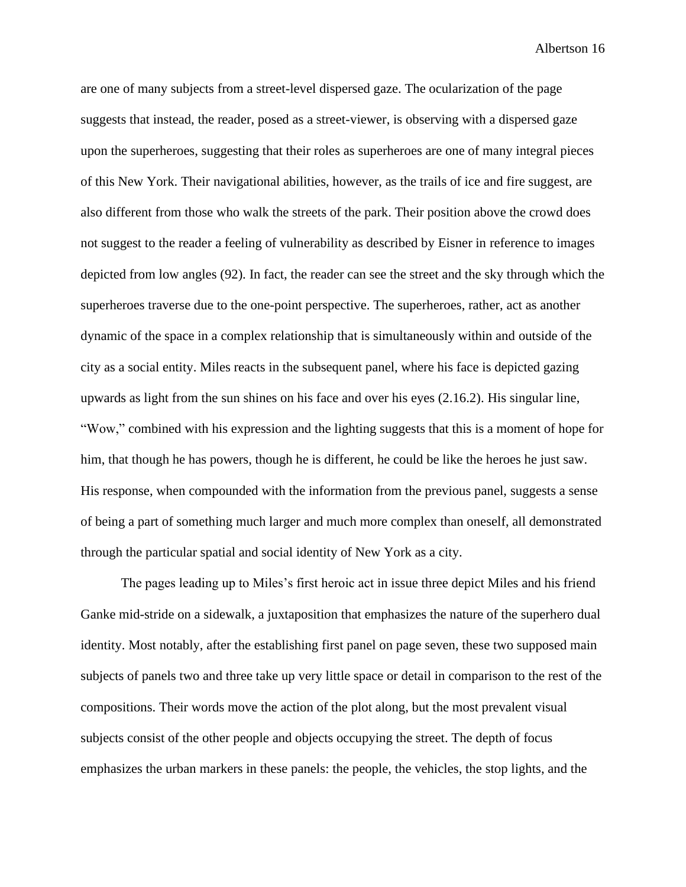are one of many subjects from a street-level dispersed gaze. The ocularization of the page suggests that instead, the reader, posed as a street-viewer, is observing with a dispersed gaze upon the superheroes, suggesting that their roles as superheroes are one of many integral pieces of this New York. Their navigational abilities, however, as the trails of ice and fire suggest, are also different from those who walk the streets of the park. Their position above the crowd does not suggest to the reader a feeling of vulnerability as described by Eisner in reference to images depicted from low angles (92). In fact, the reader can see the street and the sky through which the superheroes traverse due to the one-point perspective. The superheroes, rather, act as another dynamic of the space in a complex relationship that is simultaneously within and outside of the city as a social entity. Miles reacts in the subsequent panel, where his face is depicted gazing upwards as light from the sun shines on his face and over his eyes (2.16.2). His singular line, "Wow," combined with his expression and the lighting suggests that this is a moment of hope for him, that though he has powers, though he is different, he could be like the heroes he just saw. His response, when compounded with the information from the previous panel, suggests a sense of being a part of something much larger and much more complex than oneself, all demonstrated through the particular spatial and social identity of New York as a city.

The pages leading up to Miles's first heroic act in issue three depict Miles and his friend Ganke mid-stride on a sidewalk, a juxtaposition that emphasizes the nature of the superhero dual identity. Most notably, after the establishing first panel on page seven, these two supposed main subjects of panels two and three take up very little space or detail in comparison to the rest of the compositions. Their words move the action of the plot along, but the most prevalent visual subjects consist of the other people and objects occupying the street. The depth of focus emphasizes the urban markers in these panels: the people, the vehicles, the stop lights, and the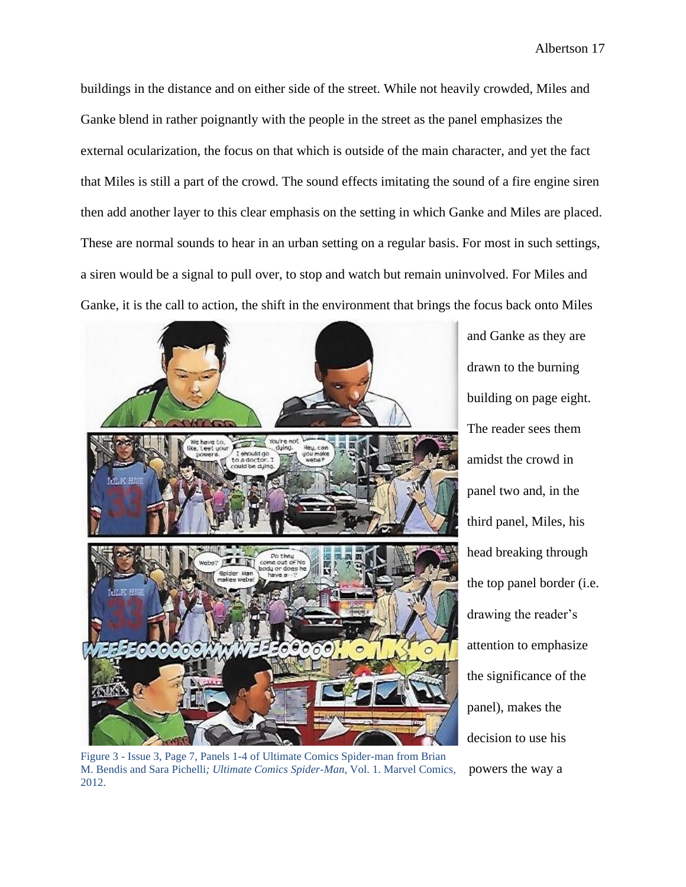buildings in the distance and on either side of the street. While not heavily crowded, Miles and Ganke blend in rather poignantly with the people in the street as the panel emphasizes the external ocularization, the focus on that which is outside of the main character, and yet the fact that Miles is still a part of the crowd. The sound effects imitating the sound of a fire engine siren then add another layer to this clear emphasis on the setting in which Ganke and Miles are placed. These are normal sounds to hear in an urban setting on a regular basis. For most in such settings, a siren would be a signal to pull over, to stop and watch but remain uninvolved. For Miles and Ganke, it is the call to action, the shift in the environment that brings the focus back onto Miles



Figure 3 - Issue 3, Page 7, Panels 1-4 of Ultimate Comics Spider-man from Brian M. Bendis and Sara Pichelli*; Ultimate Comics Spider-Man*, Vol. 1. Marvel Comics, 2012.

and Ganke as they are drawn to the burning building on page eight. The reader sees them amidst the crowd in panel two and, in the third panel, Miles, his head breaking through the top panel border (i.e. drawing the reader's attention to emphasize the significance of the panel), makes the decision to use his powers the way a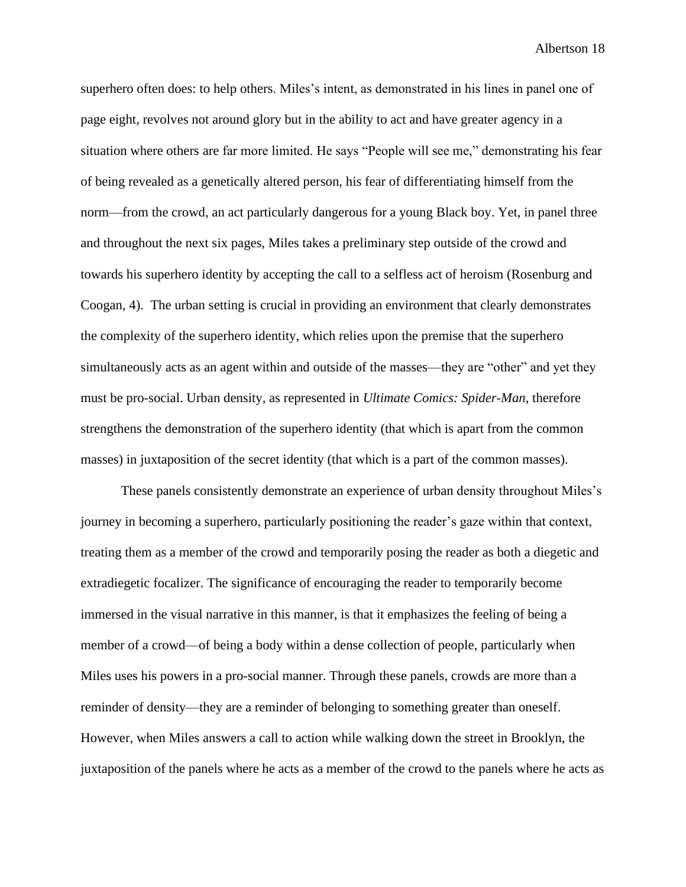superhero often does: to help others. Miles's intent, as demonstrated in his lines in panel one of page eight, revolves not around glory but in the ability to act and have greater agency in a situation where others are far more limited. He says "People will see me," demonstrating his fear of being revealed as a genetically altered person, his fear of differentiating himself from the norm—from the crowd, an act particularly dangerous for a young Black boy. Yet, in panel three and throughout the next six pages, Miles takes a preliminary step outside of the crowd and towards his superhero identity by accepting the call to a selfless act of heroism (Rosenburg and Coogan, 4). The urban setting is crucial in providing an environment that clearly demonstrates the complexity of the superhero identity, which relies upon the premise that the superhero simultaneously acts as an agent within and outside of the masses—they are "other" and yet they must be pro-social. Urban density, as represented in *Ultimate Comics: Spider-Man*, therefore strengthens the demonstration of the superhero identity (that which is apart from the common masses) in juxtaposition of the secret identity (that which is a part of the common masses).

These panels consistently demonstrate an experience of urban density throughout Miles's journey in becoming a superhero, particularly positioning the reader's gaze within that context, treating them as a member of the crowd and temporarily posing the reader as both a diegetic and extradiegetic focalizer. The significance of encouraging the reader to temporarily become immersed in the visual narrative in this manner, is that it emphasizes the feeling of being a member of a crowd—of being a body within a dense collection of people, particularly when Miles uses his powers in a pro-social manner. Through these panels, crowds are more than a reminder of density—they are a reminder of belonging to something greater than oneself. However, when Miles answers a call to action while walking down the street in Brooklyn, the juxtaposition of the panels where he acts as a member of the crowd to the panels where he acts as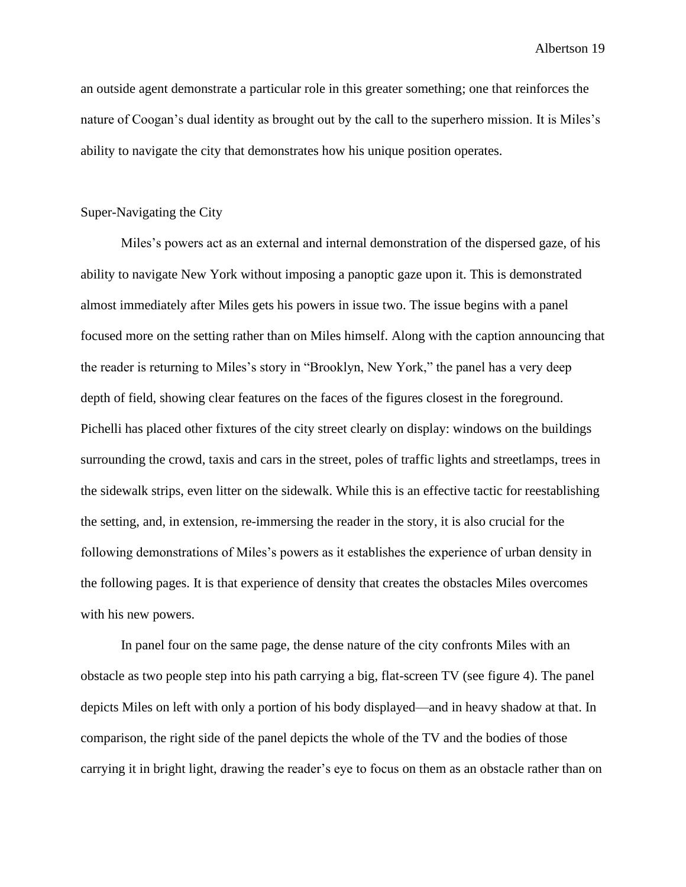an outside agent demonstrate a particular role in this greater something; one that reinforces the nature of Coogan's dual identity as brought out by the call to the superhero mission. It is Miles's ability to navigate the city that demonstrates how his unique position operates.

#### Super-Navigating the City

Miles's powers act as an external and internal demonstration of the dispersed gaze, of his ability to navigate New York without imposing a panoptic gaze upon it. This is demonstrated almost immediately after Miles gets his powers in issue two. The issue begins with a panel focused more on the setting rather than on Miles himself. Along with the caption announcing that the reader is returning to Miles's story in "Brooklyn, New York," the panel has a very deep depth of field, showing clear features on the faces of the figures closest in the foreground. Pichelli has placed other fixtures of the city street clearly on display: windows on the buildings surrounding the crowd, taxis and cars in the street, poles of traffic lights and streetlamps, trees in the sidewalk strips, even litter on the sidewalk. While this is an effective tactic for reestablishing the setting, and, in extension, re-immersing the reader in the story, it is also crucial for the following demonstrations of Miles's powers as it establishes the experience of urban density in the following pages. It is that experience of density that creates the obstacles Miles overcomes with his new powers.

In panel four on the same page, the dense nature of the city confronts Miles with an obstacle as two people step into his path carrying a big, flat-screen TV (see figure 4). The panel depicts Miles on left with only a portion of his body displayed—and in heavy shadow at that. In comparison, the right side of the panel depicts the whole of the TV and the bodies of those carrying it in bright light, drawing the reader's eye to focus on them as an obstacle rather than on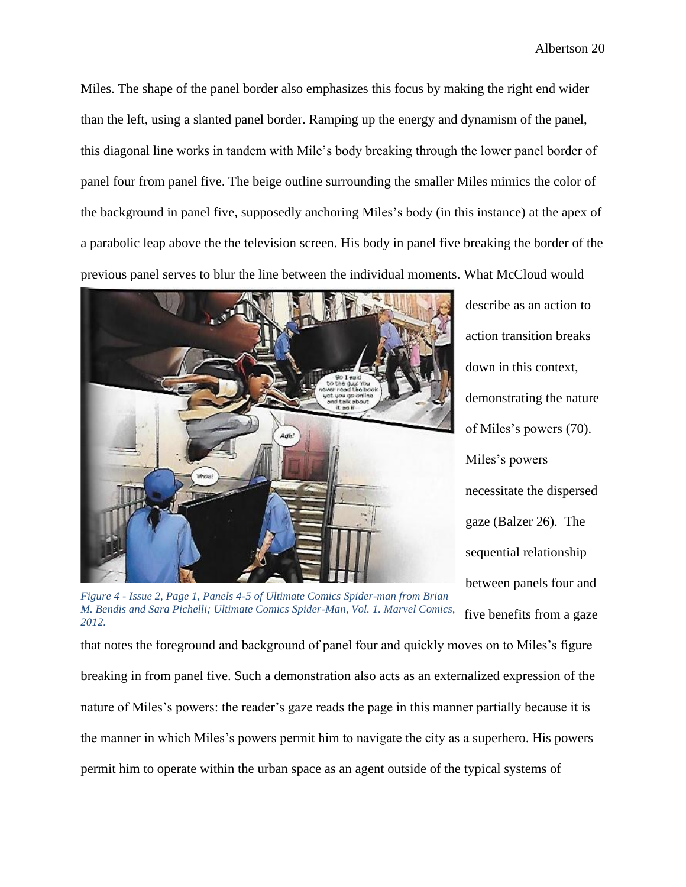Miles. The shape of the panel border also emphasizes this focus by making the right end wider than the left, using a slanted panel border. Ramping up the energy and dynamism of the panel, this diagonal line works in tandem with Mile's body breaking through the lower panel border of panel four from panel five. The beige outline surrounding the smaller Miles mimics the color of the background in panel five, supposedly anchoring Miles's body (in this instance) at the apex of a parabolic leap above the the television screen. His body in panel five breaking the border of the previous panel serves to blur the line between the individual moments. What McCloud would



describe as an action to action transition breaks down in this context, demonstrating the nature of Miles's powers (70). Miles's powers necessitate the dispersed gaze (Balzer 26). The sequential relationship between panels four and five benefits from a gaze

*Figure 4 - Issue 2, Page 1, Panels 4-5 of Ultimate Comics Spider-man from Brian M. Bendis and Sara Pichelli; Ultimate Comics Spider-Man, Vol. 1. Marvel Comics, 2012.*

that notes the foreground and background of panel four and quickly moves on to Miles's figure breaking in from panel five. Such a demonstration also acts as an externalized expression of the nature of Miles's powers: the reader's gaze reads the page in this manner partially because it is the manner in which Miles's powers permit him to navigate the city as a superhero. His powers permit him to operate within the urban space as an agent outside of the typical systems of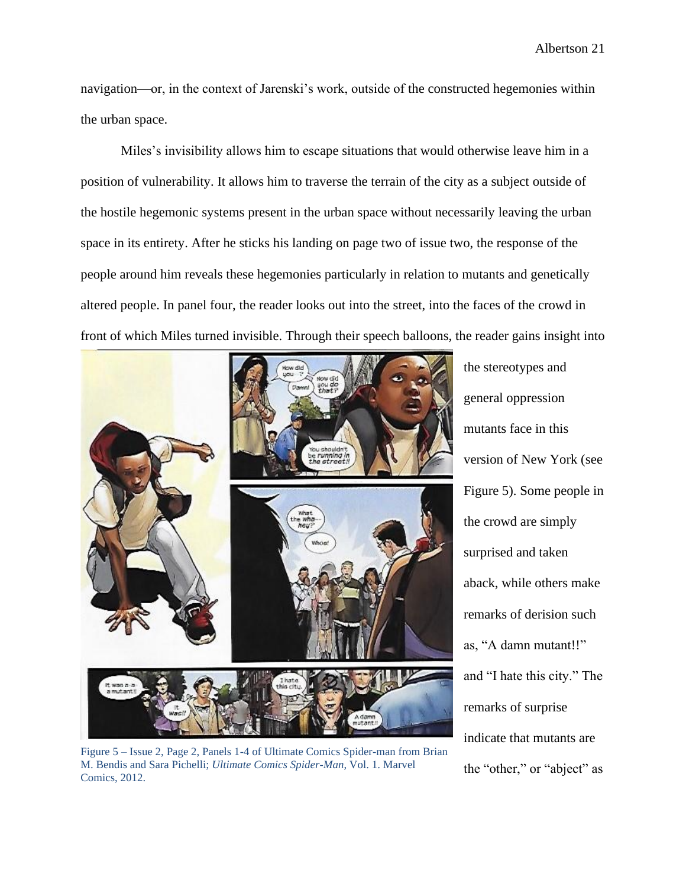navigation—or, in the context of Jarenski's work, outside of the constructed hegemonies within the urban space.

Miles's invisibility allows him to escape situations that would otherwise leave him in a position of vulnerability. It allows him to traverse the terrain of the city as a subject outside of the hostile hegemonic systems present in the urban space without necessarily leaving the urban space in its entirety. After he sticks his landing on page two of issue two, the response of the people around him reveals these hegemonies particularly in relation to mutants and genetically altered people. In panel four, the reader looks out into the street, into the faces of the crowd in front of which Miles turned invisible. Through their speech balloons, the reader gains insight into



Figure 5 – Issue 2, Page 2, Panels 1-4 of Ultimate Comics Spider-man from Brian M. Bendis and Sara Pichelli; *Ultimate Comics Spider-Man*, Vol. 1. Marvel Comics, 2012.

the stereotypes and general oppression mutants face in this version of New York (see Figure 5). Some people in the crowd are simply surprised and taken aback, while others make remarks of derision such as, "A damn mutant!!" and "I hate this city." The remarks of surprise indicate that mutants are the "other," or "abject" as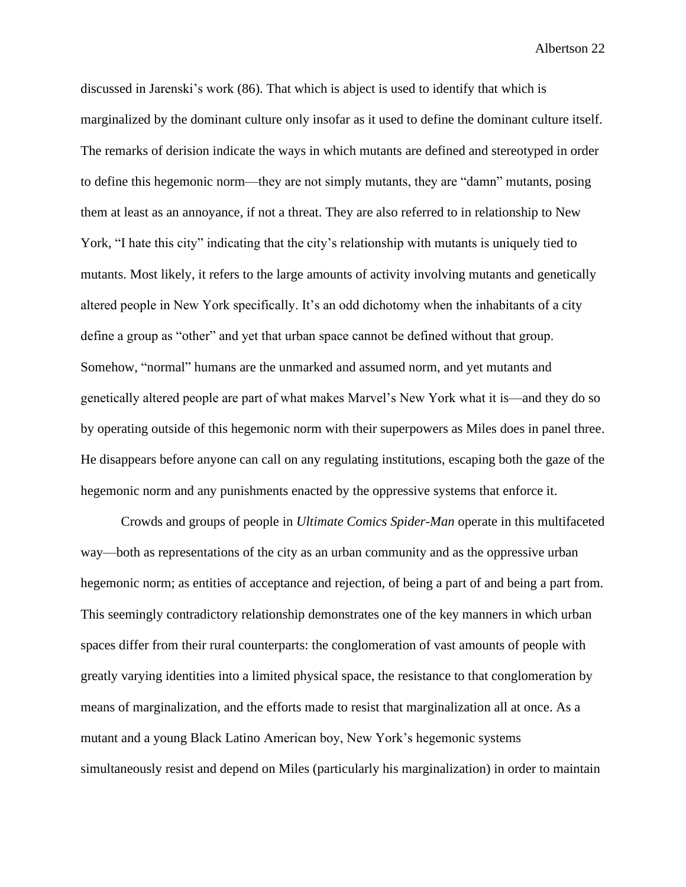discussed in Jarenski's work (86). That which is abject is used to identify that which is marginalized by the dominant culture only insofar as it used to define the dominant culture itself. The remarks of derision indicate the ways in which mutants are defined and stereotyped in order to define this hegemonic norm—they are not simply mutants, they are "damn" mutants, posing them at least as an annoyance, if not a threat. They are also referred to in relationship to New York, "I hate this city" indicating that the city's relationship with mutants is uniquely tied to mutants. Most likely, it refers to the large amounts of activity involving mutants and genetically altered people in New York specifically. It's an odd dichotomy when the inhabitants of a city define a group as "other" and yet that urban space cannot be defined without that group. Somehow, "normal" humans are the unmarked and assumed norm, and yet mutants and genetically altered people are part of what makes Marvel's New York what it is—and they do so by operating outside of this hegemonic norm with their superpowers as Miles does in panel three. He disappears before anyone can call on any regulating institutions, escaping both the gaze of the hegemonic norm and any punishments enacted by the oppressive systems that enforce it.

Crowds and groups of people in *Ultimate Comics Spider-Man* operate in this multifaceted way—both as representations of the city as an urban community and as the oppressive urban hegemonic norm; as entities of acceptance and rejection, of being a part of and being a part from. This seemingly contradictory relationship demonstrates one of the key manners in which urban spaces differ from their rural counterparts: the conglomeration of vast amounts of people with greatly varying identities into a limited physical space, the resistance to that conglomeration by means of marginalization, and the efforts made to resist that marginalization all at once. As a mutant and a young Black Latino American boy, New York's hegemonic systems simultaneously resist and depend on Miles (particularly his marginalization) in order to maintain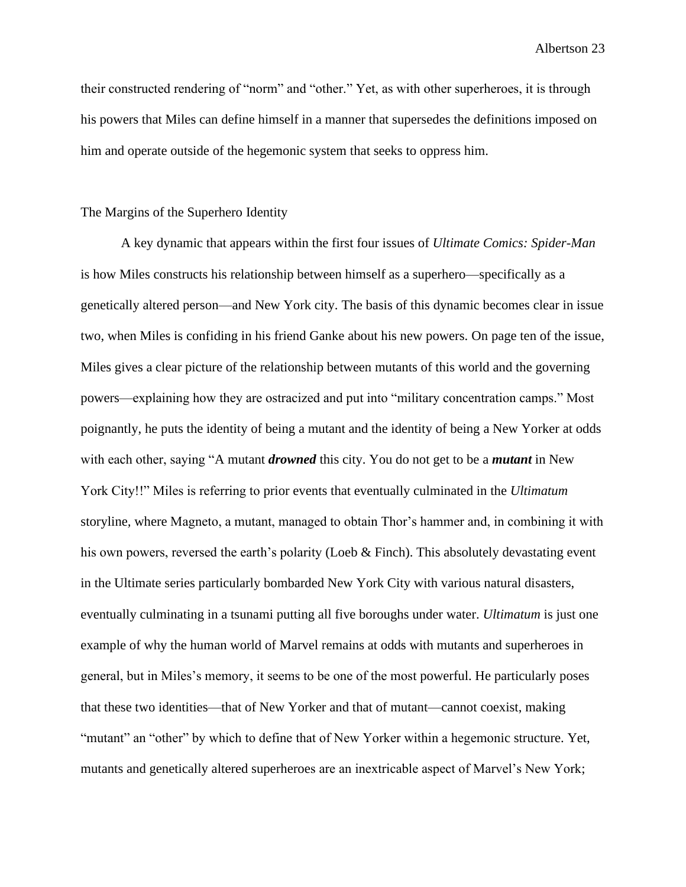their constructed rendering of "norm" and "other." Yet, as with other superheroes, it is through his powers that Miles can define himself in a manner that supersedes the definitions imposed on him and operate outside of the hegemonic system that seeks to oppress him.

#### The Margins of the Superhero Identity

A key dynamic that appears within the first four issues of *Ultimate Comics: Spider-Man* is how Miles constructs his relationship between himself as a superhero—specifically as a genetically altered person—and New York city. The basis of this dynamic becomes clear in issue two, when Miles is confiding in his friend Ganke about his new powers. On page ten of the issue, Miles gives a clear picture of the relationship between mutants of this world and the governing powers—explaining how they are ostracized and put into "military concentration camps." Most poignantly, he puts the identity of being a mutant and the identity of being a New Yorker at odds with each other, saying "A mutant *drowned* this city. You do not get to be a *mutant* in New York City!!" Miles is referring to prior events that eventually culminated in the *Ultimatum*  storyline*,* where Magneto, a mutant, managed to obtain Thor's hammer and, in combining it with his own powers, reversed the earth's polarity (Loeb & Finch). This absolutely devastating event in the Ultimate series particularly bombarded New York City with various natural disasters, eventually culminating in a tsunami putting all five boroughs under water. *Ultimatum* is just one example of why the human world of Marvel remains at odds with mutants and superheroes in general, but in Miles's memory, it seems to be one of the most powerful. He particularly poses that these two identities—that of New Yorker and that of mutant—cannot coexist, making "mutant" an "other" by which to define that of New Yorker within a hegemonic structure. Yet, mutants and genetically altered superheroes are an inextricable aspect of Marvel's New York;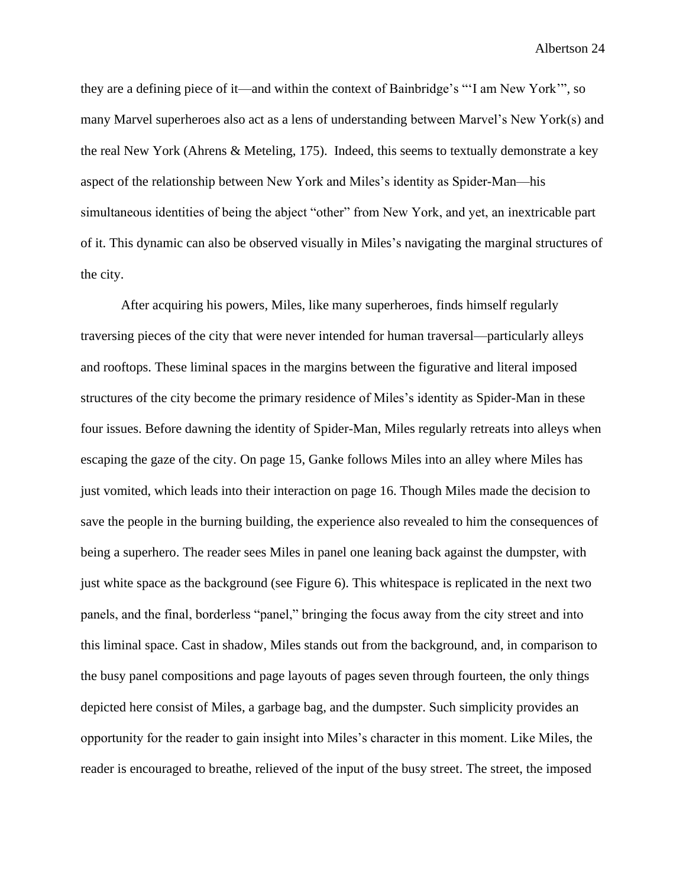they are a defining piece of it—and within the context of Bainbridge's "'I am New York'", so many Marvel superheroes also act as a lens of understanding between Marvel's New York(s) and the real New York (Ahrens & Meteling, 175). Indeed, this seems to textually demonstrate a key aspect of the relationship between New York and Miles's identity as Spider-Man—his simultaneous identities of being the abject "other" from New York, and yet, an inextricable part of it. This dynamic can also be observed visually in Miles's navigating the marginal structures of the city.

After acquiring his powers, Miles, like many superheroes, finds himself regularly traversing pieces of the city that were never intended for human traversal—particularly alleys and rooftops. These liminal spaces in the margins between the figurative and literal imposed structures of the city become the primary residence of Miles's identity as Spider-Man in these four issues. Before dawning the identity of Spider-Man, Miles regularly retreats into alleys when escaping the gaze of the city. On page 15, Ganke follows Miles into an alley where Miles has just vomited, which leads into their interaction on page 16. Though Miles made the decision to save the people in the burning building, the experience also revealed to him the consequences of being a superhero. The reader sees Miles in panel one leaning back against the dumpster, with just white space as the background (see Figure 6). This whitespace is replicated in the next two panels, and the final, borderless "panel," bringing the focus away from the city street and into this liminal space. Cast in shadow, Miles stands out from the background, and, in comparison to the busy panel compositions and page layouts of pages seven through fourteen, the only things depicted here consist of Miles, a garbage bag, and the dumpster. Such simplicity provides an opportunity for the reader to gain insight into Miles's character in this moment. Like Miles, the reader is encouraged to breathe, relieved of the input of the busy street. The street, the imposed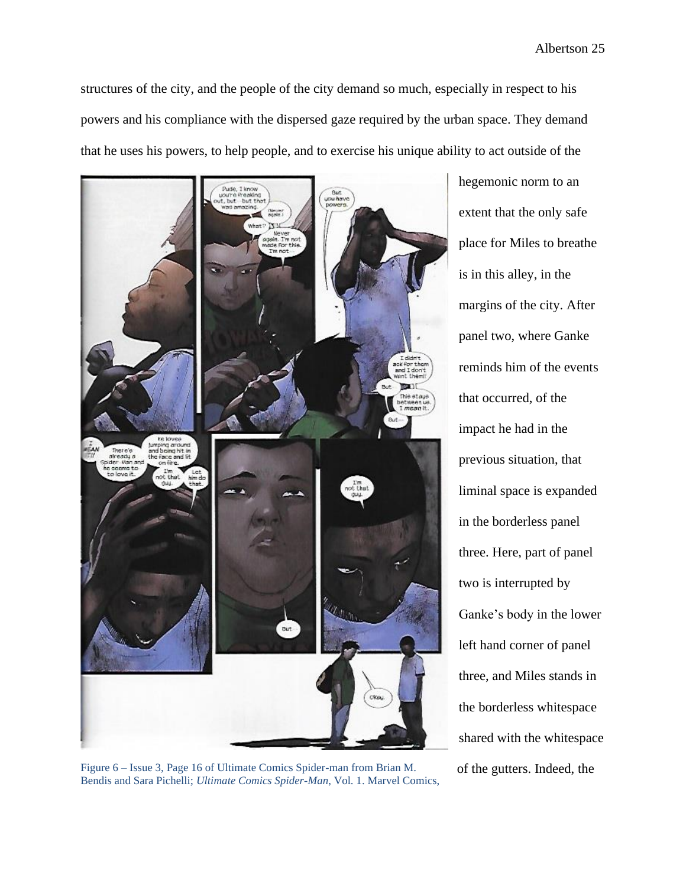structures of the city, and the people of the city demand so much, especially in respect to his powers and his compliance with the dispersed gaze required by the urban space. They demand that he uses his powers, to help people, and to exercise his unique ability to act outside of the



Figure 6 – Issue 3, Page 16 of Ultimate Comics Spider-man from Brian M. of the gutters. Indeed, the Bendis and Sara Pichelli; *Ultimate Comics Spider-Man*, Vol. 1. Marvel Comics,

hegemonic norm to an extent that the only safe place for Miles to breathe is in this alley, in the margins of the city. After panel two, where Ganke reminds him of the events that occurred, of the impact he had in the previous situation, that liminal space is expanded in the borderless panel three. Here, part of panel two is interrupted by Ganke's body in the lower left hand corner of panel three, and Miles stands in the borderless whitespace shared with the whitespace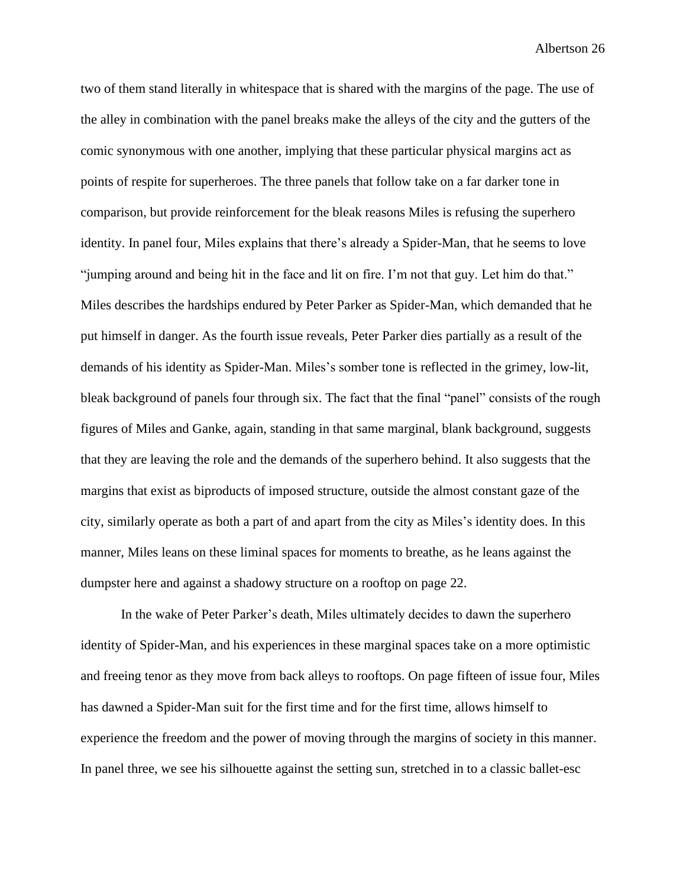two of them stand literally in whitespace that is shared with the margins of the page. The use of the alley in combination with the panel breaks make the alleys of the city and the gutters of the comic synonymous with one another, implying that these particular physical margins act as points of respite for superheroes. The three panels that follow take on a far darker tone in comparison, but provide reinforcement for the bleak reasons Miles is refusing the superhero identity. In panel four, Miles explains that there's already a Spider-Man, that he seems to love "jumping around and being hit in the face and lit on fire. I'm not that guy. Let him do that." Miles describes the hardships endured by Peter Parker as Spider-Man, which demanded that he put himself in danger. As the fourth issue reveals, Peter Parker dies partially as a result of the demands of his identity as Spider-Man. Miles's somber tone is reflected in the grimey, low-lit, bleak background of panels four through six. The fact that the final "panel" consists of the rough figures of Miles and Ganke, again, standing in that same marginal, blank background, suggests that they are leaving the role and the demands of the superhero behind. It also suggests that the margins that exist as biproducts of imposed structure, outside the almost constant gaze of the city, similarly operate as both a part of and apart from the city as Miles's identity does. In this manner, Miles leans on these liminal spaces for moments to breathe, as he leans against the dumpster here and against a shadowy structure on a rooftop on page 22.

In the wake of Peter Parker's death, Miles ultimately decides to dawn the superhero identity of Spider-Man, and his experiences in these marginal spaces take on a more optimistic and freeing tenor as they move from back alleys to rooftops. On page fifteen of issue four, Miles has dawned a Spider-Man suit for the first time and for the first time, allows himself to experience the freedom and the power of moving through the margins of society in this manner. In panel three, we see his silhouette against the setting sun, stretched in to a classic ballet-esc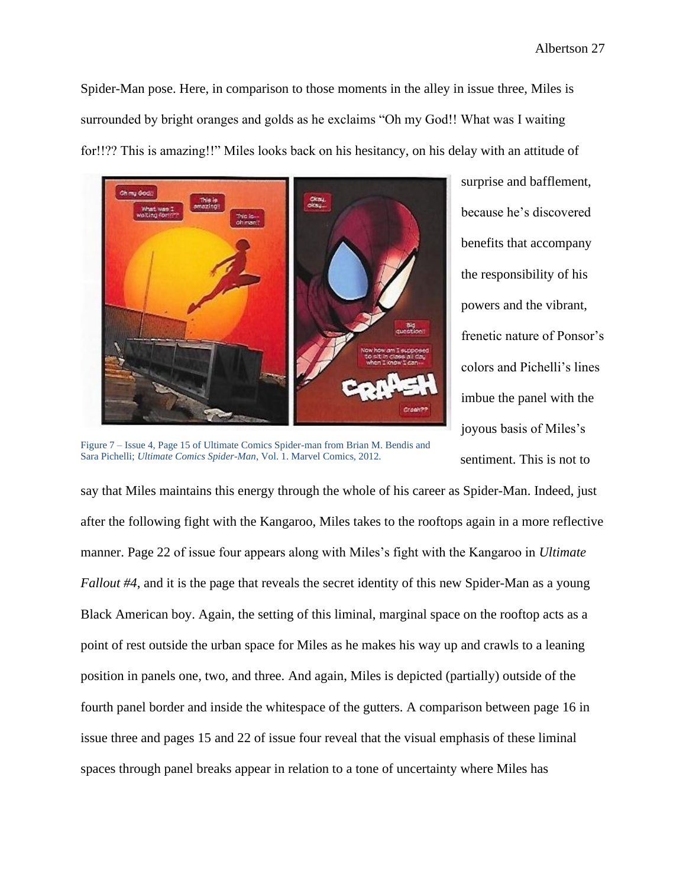Spider-Man pose. Here, in comparison to those moments in the alley in issue three, Miles is surrounded by bright oranges and golds as he exclaims "Oh my God!! What was I waiting for!!?? This is amazing!!" Miles looks back on his hesitancy, on his delay with an attitude of



Figure 7 – Issue 4, Page 15 of Ultimate Comics Spider-man from Brian M. Bendis and Sara Pichelli; *Ultimate Comics Spider-Man*, Vol. 1. Marvel Comics, 2012.

surprise and bafflement, because he's discovered benefits that accompany the responsibility of his powers and the vibrant, frenetic nature of Ponsor's colors and Pichelli's lines imbue the panel with the joyous basis of Miles's sentiment. This is not to

say that Miles maintains this energy through the whole of his career as Spider-Man. Indeed, just after the following fight with the Kangaroo, Miles takes to the rooftops again in a more reflective manner. Page 22 of issue four appears along with Miles's fight with the Kangaroo in *Ultimate Fallout #4*, and it is the page that reveals the secret identity of this new Spider-Man as a young Black American boy. Again, the setting of this liminal, marginal space on the rooftop acts as a point of rest outside the urban space for Miles as he makes his way up and crawls to a leaning position in panels one, two, and three. And again, Miles is depicted (partially) outside of the fourth panel border and inside the whitespace of the gutters. A comparison between page 16 in issue three and pages 15 and 22 of issue four reveal that the visual emphasis of these liminal spaces through panel breaks appear in relation to a tone of uncertainty where Miles has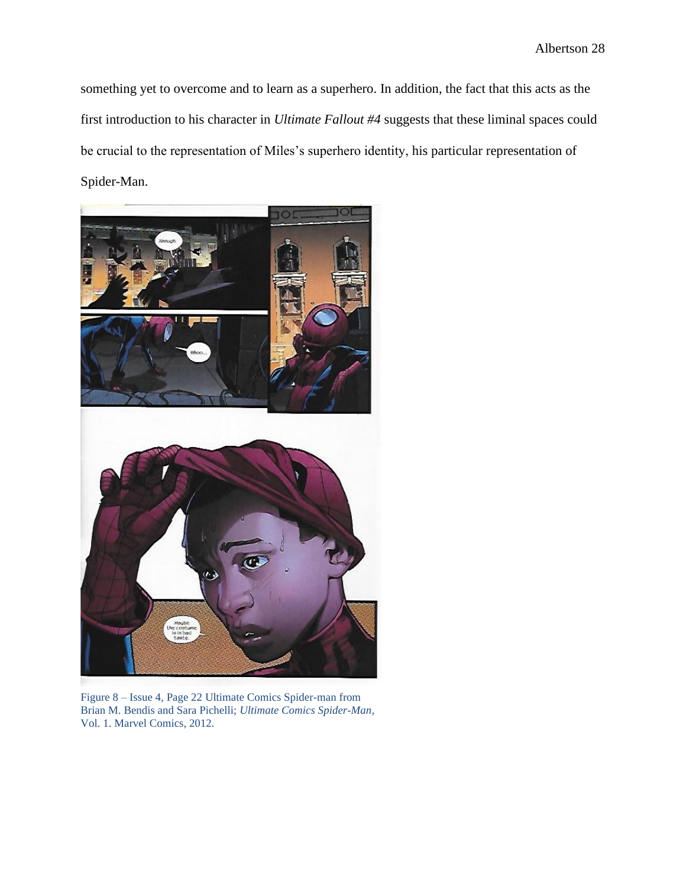something yet to overcome and to learn as a superhero. In addition, the fact that this acts as the first introduction to his character in *Ultimate Fallout #4* suggests that these liminal spaces could be crucial to the representation of Miles's superhero identity, his particular representation of Spider-Man.



Figure 8 – Issue 4, Page 22 Ultimate Comics Spider-man from Brian M. Bendis and Sara Pichelli; *Ultimate Comics Spider-Man*, Vol. 1. Marvel Comics, 2012.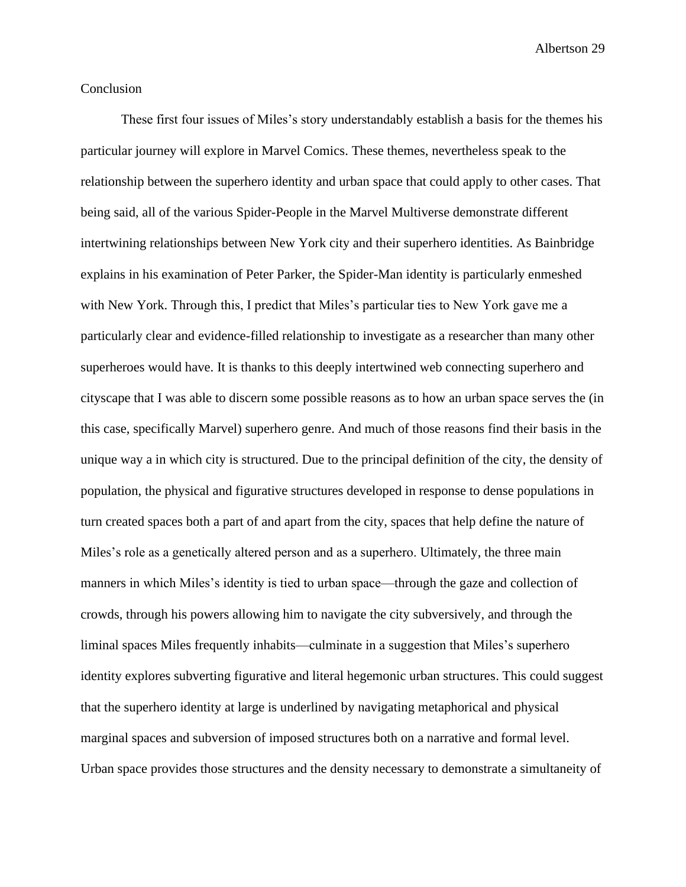# Conclusion

These first four issues of Miles's story understandably establish a basis for the themes his particular journey will explore in Marvel Comics. These themes, nevertheless speak to the relationship between the superhero identity and urban space that could apply to other cases. That being said, all of the various Spider-People in the Marvel Multiverse demonstrate different intertwining relationships between New York city and their superhero identities. As Bainbridge explains in his examination of Peter Parker, the Spider-Man identity is particularly enmeshed with New York. Through this, I predict that Miles's particular ties to New York gave me a particularly clear and evidence-filled relationship to investigate as a researcher than many other superheroes would have. It is thanks to this deeply intertwined web connecting superhero and cityscape that I was able to discern some possible reasons as to how an urban space serves the (in this case, specifically Marvel) superhero genre. And much of those reasons find their basis in the unique way a in which city is structured. Due to the principal definition of the city, the density of population, the physical and figurative structures developed in response to dense populations in turn created spaces both a part of and apart from the city, spaces that help define the nature of Miles's role as a genetically altered person and as a superhero. Ultimately, the three main manners in which Miles's identity is tied to urban space—through the gaze and collection of crowds, through his powers allowing him to navigate the city subversively, and through the liminal spaces Miles frequently inhabits—culminate in a suggestion that Miles's superhero identity explores subverting figurative and literal hegemonic urban structures. This could suggest that the superhero identity at large is underlined by navigating metaphorical and physical marginal spaces and subversion of imposed structures both on a narrative and formal level. Urban space provides those structures and the density necessary to demonstrate a simultaneity of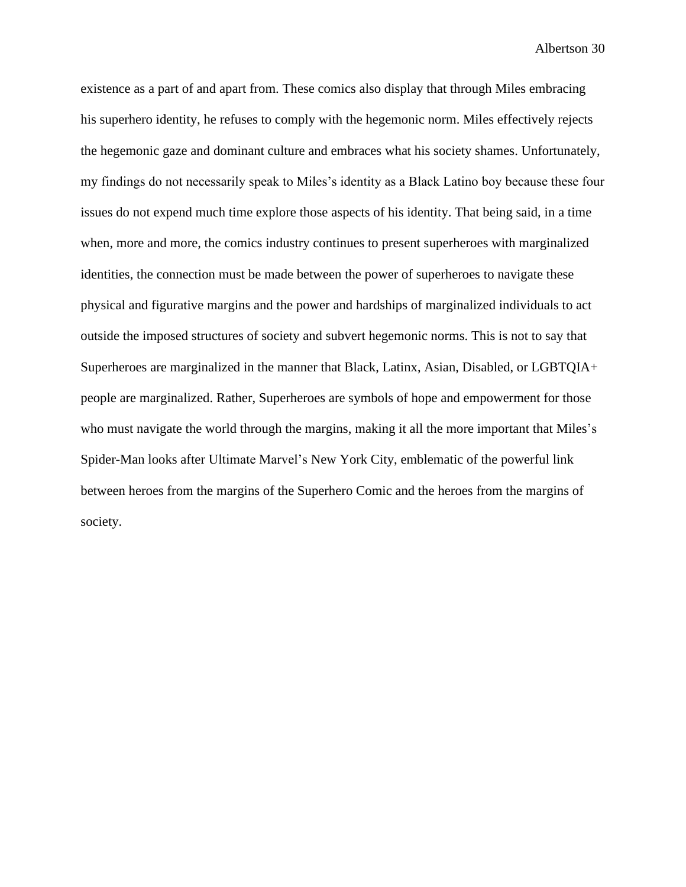existence as a part of and apart from. These comics also display that through Miles embracing his superhero identity, he refuses to comply with the hegemonic norm. Miles effectively rejects the hegemonic gaze and dominant culture and embraces what his society shames. Unfortunately, my findings do not necessarily speak to Miles's identity as a Black Latino boy because these four issues do not expend much time explore those aspects of his identity. That being said, in a time when, more and more, the comics industry continues to present superheroes with marginalized identities, the connection must be made between the power of superheroes to navigate these physical and figurative margins and the power and hardships of marginalized individuals to act outside the imposed structures of society and subvert hegemonic norms. This is not to say that Superheroes are marginalized in the manner that Black, Latinx, Asian, Disabled, or LGBTQIA+ people are marginalized. Rather, Superheroes are symbols of hope and empowerment for those who must navigate the world through the margins, making it all the more important that Miles's Spider-Man looks after Ultimate Marvel's New York City, emblematic of the powerful link between heroes from the margins of the Superhero Comic and the heroes from the margins of society.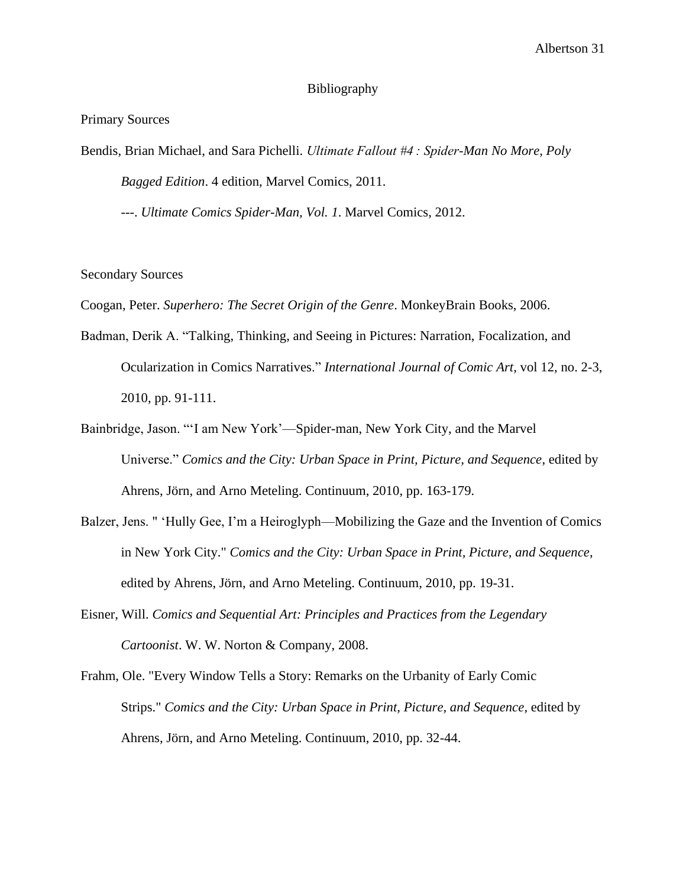# Bibliography

Primary Sources

Bendis, Brian Michael, and Sara Pichelli. *Ultimate Fallout #4 : Spider-Man No More, Poly Bagged Edition*. 4 edition, Marvel Comics, 2011.

---. *Ultimate Comics Spider-Man, Vol. 1*. Marvel Comics, 2012.

#### Secondary Sources

Coogan, Peter. *Superhero: The Secret Origin of the Genre*. MonkeyBrain Books, 2006.

- Badman, Derik A. "Talking, Thinking, and Seeing in Pictures: Narration, Focalization, and Ocularization in Comics Narratives." *International Journal of Comic Art*, vol 12, no. 2-3, 2010, pp. 91-111.
- Bainbridge, Jason. "'I am New York'—Spider-man, New York City, and the Marvel Universe." *Comics and the City: Urban Space in Print, Picture, and Sequence*, edited by Ahrens, Jörn, and Arno Meteling. Continuum, 2010, pp. 163-179.
- Balzer, Jens. " 'Hully Gee, I'm a Heiroglyph—Mobilizing the Gaze and the Invention of Comics in New York City." *Comics and the City: Urban Space in Print, Picture, and Sequence*, edited by Ahrens, Jörn, and Arno Meteling. Continuum, 2010, pp. 19-31.
- Eisner, Will. *Comics and Sequential Art: Principles and Practices from the Legendary Cartoonist*. W. W. Norton & Company, 2008.
- Frahm, Ole. "Every Window Tells a Story: Remarks on the Urbanity of Early Comic Strips." *Comics and the City: Urban Space in Print, Picture, and Sequence*, edited by Ahrens, Jörn, and Arno Meteling. Continuum, 2010, pp. 32-44.